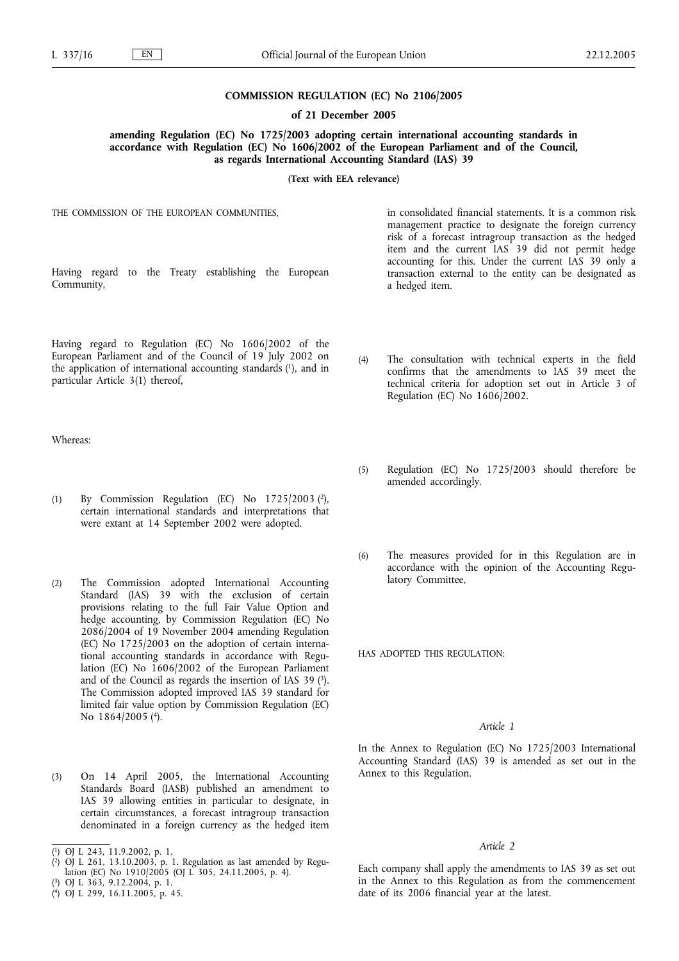### **COMMISSION REGULATION (EC) No 2106/2005**

**of 21 December 2005**

**amending Regulation (EC) No 1725/2003 adopting certain international accounting standards in accordance with Regulation (EC) No 1606/2002 of the European Parliament and of the Council, as regards International Accounting Standard (IAS) 39**

**(Text with EEA relevance)**

THE COMMISSION OF THE EUROPEAN COMMUNITIES,

Having regard to the Treaty establishing the European Community,

Having regard to Regulation (EC) No 1606/2002 of the European Parliament and of the Council of 19 July 2002 on the application of international accounting standards (1), and in particular Article 3(1) thereof,

Whereas:

- (1) By Commission Regulation (EC) No  $1725/2003$  (2), certain international standards and interpretations that were extant at 14 September 2002 were adopted.
- (2) The Commission adopted International Accounting Standard (IAS) 39 with the exclusion of certain provisions relating to the full Fair Value Option and hedge accounting, by Commission Regulation (EC) No 2086/2004 of 19 November 2004 amending Regulation (EC) No 1725/2003 on the adoption of certain international accounting standards in accordance with Regulation (EC) No 1606/2002 of the European Parliament and of the Council as regards the insertion of IAS 39 (3). The Commission adopted improved IAS 39 standard for limited fair value option by Commission Regulation (EC) No 1864/2005 (4).
- (3) On 14 April 2005, the International Accounting Standards Board (IASB) published an amendment to IAS 39 allowing entities in particular to designate, in certain circumstances, a forecast intragroup transaction denominated in a foreign currency as the hedged item

- ( 3) OJ L 363, 9.12.2004, p. 1.
- ( 4) OJ L 299, 16.11.2005, p. 45.

in consolidated financial statements. It is a common risk management practice to designate the foreign currency risk of a forecast intragroup transaction as the hedged item and the current IAS 39 did not permit hedge accounting for this. Under the current IAS 39 only a transaction external to the entity can be designated as a hedged item.

- (4) The consultation with technical experts in the field confirms that the amendments to IAS 39 meet the technical criteria for adoption set out in Article 3 of Regulation (EC) No 1606/2002.
- (5) Regulation (EC) No 1725/2003 should therefore be amended accordingly.
- (6) The measures provided for in this Regulation are in accordance with the opinion of the Accounting Regulatory Committee,

HAS ADOPTED THIS REGULATION:

### *Article 1*

In the Annex to Regulation (EC) No 1725/2003 International Accounting Standard (IAS) 39 is amended as set out in the Annex to this Regulation.

## *Article 2*

Each company shall apply the amendments to IAS 39 as set out in the Annex to this Regulation as from the commencement date of its 2006 financial year at the latest.

<sup>(</sup> 1) OJ L 243, 11.9.2002, p. 1.

<sup>(</sup> 2) OJ L 261, 13.10.2003, p. 1. Regulation as last amended by Regulation (EC) No 1910/2005 (OJ L 305, 24.11.2005, p. 4).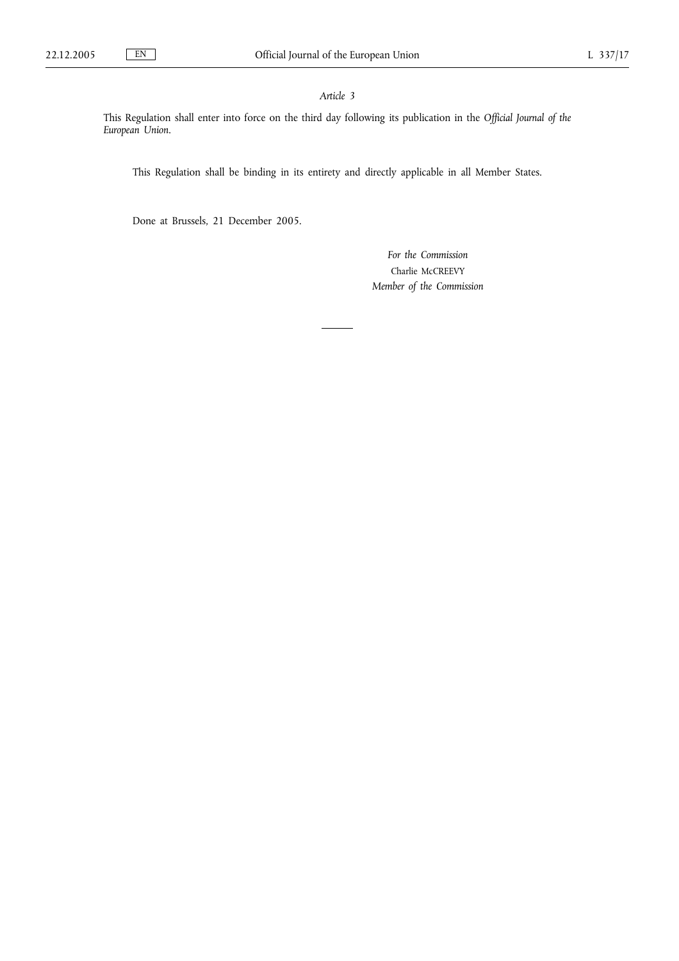# *Article 3*

This Regulation shall enter into force on the third day following its publication in the *Official Journal of the European Union*.

This Regulation shall be binding in its entirety and directly applicable in all Member States.

Done at Brussels, 21 December 2005.

*For the Commission* Charlie McCREEVY *Member of the Commission*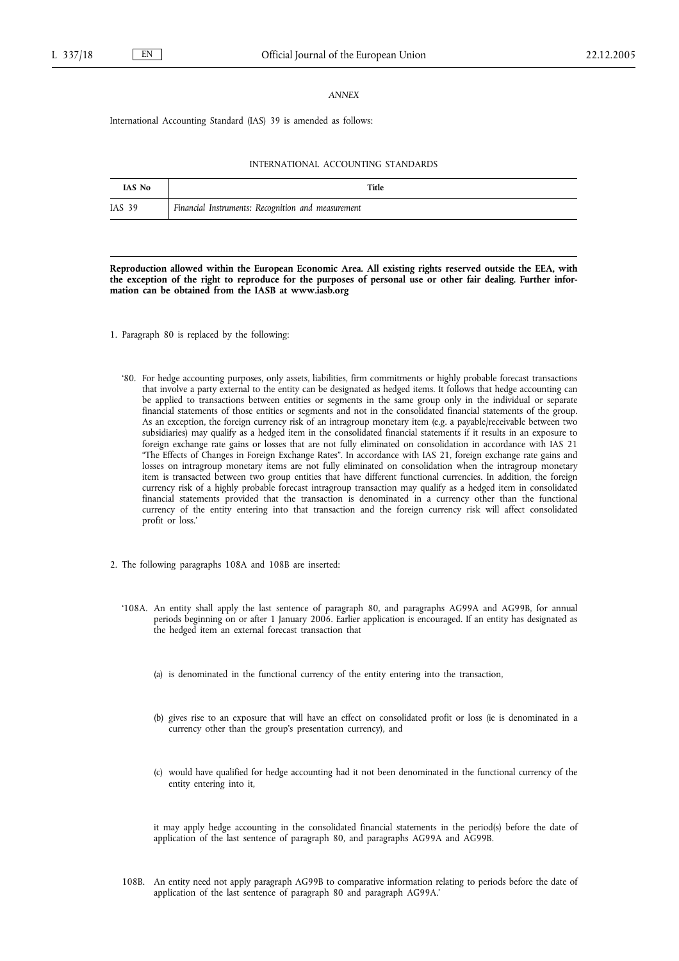### *ANNEX*

International Accounting Standard (IAS) 39 is amended as follows:

#### INTERNATIONAL ACCOUNTING STANDARDS

| <b>IAS No</b> | Title                                              |
|---------------|----------------------------------------------------|
| IAS 39        | Financial Instruments: Recognition and measurement |

**Reproduction allowed within the European Economic Area. All existing rights reserved outside the EEA, with the exception of the right to reproduce for the purposes of personal use or other fair dealing. Further information can be obtained from the IASB at www.iasb.org**

- 1. Paragraph 80 is replaced by the following:
	- '80. For hedge accounting purposes, only assets, liabilities, firm commitments or highly probable forecast transactions that involve a party external to the entity can be designated as hedged items. It follows that hedge accounting can be applied to transactions between entities or segments in the same group only in the individual or separate financial statements of those entities or segments and not in the consolidated financial statements of the group. As an exception, the foreign currency risk of an intragroup monetary item (e.g. a payable/receivable between two subsidiaries) may qualify as a hedged item in the consolidated financial statements if it results in an exposure to foreign exchange rate gains or losses that are not fully eliminated on consolidation in accordance with IAS 21 "The Effects of Changes in Foreign Exchange Rates". In accordance with IAS 21, foreign exchange rate gains and losses on intragroup monetary items are not fully eliminated on consolidation when the intragroup monetary item is transacted between two group entities that have different functional currencies. In addition, the foreign currency risk of a highly probable forecast intragroup transaction may qualify as a hedged item in consolidated financial statements provided that the transaction is denominated in a currency other than the functional currency of the entity entering into that transaction and the foreign currency risk will affect consolidated profit or loss.'
- 2. The following paragraphs 108A and 108B are inserted:
	- '108A. An entity shall apply the last sentence of paragraph 80, and paragraphs AG99A and AG99B, for annual periods beginning on or after 1 January 2006. Earlier application is encouraged. If an entity has designated as the hedged item an external forecast transaction that
		- (a) is denominated in the functional currency of the entity entering into the transaction,
		- (b) gives rise to an exposure that will have an effect on consolidated profit or loss (ie is denominated in a currency other than the group's presentation currency), and
		- (c) would have qualified for hedge accounting had it not been denominated in the functional currency of the entity entering into it,

it may apply hedge accounting in the consolidated financial statements in the period(s) before the date of application of the last sentence of paragraph 80, and paragraphs AG99A and AG99B.

108B. An entity need not apply paragraph AG99B to comparative information relating to periods before the date of application of the last sentence of paragraph 80 and paragraph AG99A.'